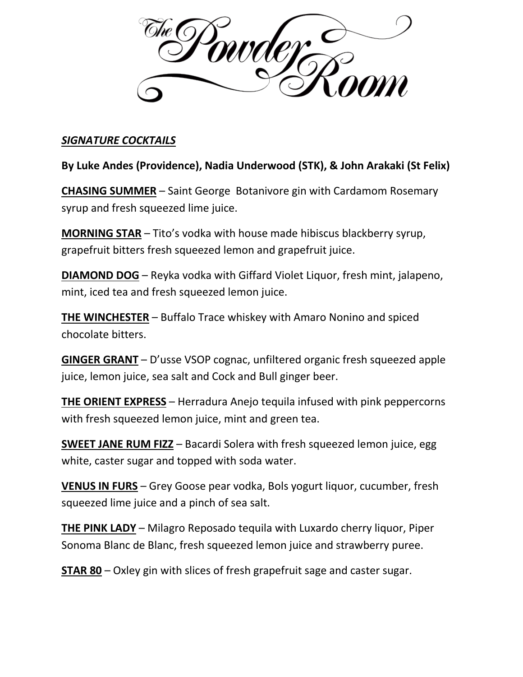

## *SIGNATURE COCKTAILS*

**By Luke Andes (Providence), Nadia Underwood (STK), & John Arakaki (St Felix)**

**CHASING SUMMER** – Saint George Botanivore gin with Cardamom Rosemary syrup and fresh squeezed lime juice.

**MORNING STAR** – Tito's vodka with house made hibiscus blackberry syrup, grapefruit bitters fresh squeezed lemon and grapefruit juice.

**DIAMOND DOG** – Reyka vodka with Giffard Violet Liquor, fresh mint, jalapeno, mint, iced tea and fresh squeezed lemon juice.

**THE WINCHESTER** – Buffalo Trace whiskey with Amaro Nonino and spiced chocolate bitters.

**GINGER GRANT** – D'usse VSOP cognac, unfiltered organic fresh squeezed apple juice, lemon juice, sea salt and Cock and Bull ginger beer.

**THE ORIENT EXPRESS** – Herradura Anejo tequila infused with pink peppercorns with fresh squeezed lemon juice, mint and green tea.

**SWEET JANE RUM FIZZ** – Bacardi Solera with fresh squeezed lemon juice, egg white, caster sugar and topped with soda water.

**VENUS IN FURS** – Grey Goose pear vodka, Bols yogurt liquor, cucumber, fresh squeezed lime juice and a pinch of sea salt.

**THE PINK LADY** – Milagro Reposado tequila with Luxardo cherry liquor, Piper Sonoma Blanc de Blanc, fresh squeezed lemon juice and strawberry puree.

**STAR 80** – Oxley gin with slices of fresh grapefruit sage and caster sugar.